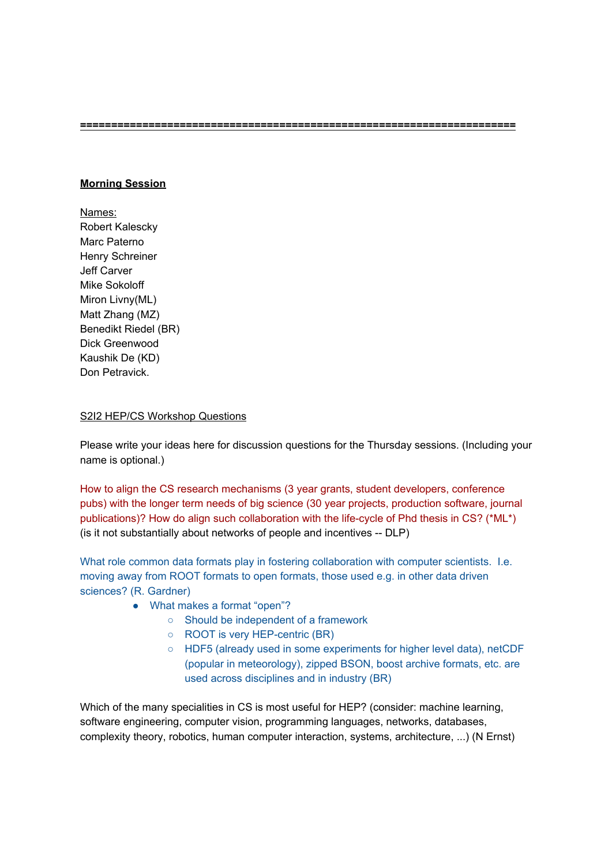**======================================================================**

## **Morning Session**

Names: Robert Kalescky Marc Paterno Henry Schreiner Jeff Carver Mike Sokoloff Miron Livny(ML) Matt Zhang (MZ) Benedikt Riedel (BR) Dick Greenwood Kaushik De (KD) Don Petravick.

## S2I2 HEP/CS Workshop Questions

Please write your ideas here for discussion questions for the Thursday sessions. (Including your name is optional.)

How to align the CS research mechanisms (3 year grants, student developers, conference pubs) with the longer term needs of big science (30 year projects, production software, journal publications)? How do align such collaboration with the life-cycle of Phd thesis in CS? (\*ML\*) (is it not substantially about networks of people and incentives -- DLP)

What role common data formats play in fostering collaboration with computer scientists. I.e. moving away from ROOT formats to open formats, those used e.g. in other data driven sciences? (R. Gardner)

- What makes a format "open"?
	- Should be independent of a framework
	- ROOT is very HEP-centric (BR)
	- HDF5 (already used in some experiments for higher level data), netCDF (popular in meteorology), zipped BSON, boost archive formats, etc. are used across disciplines and in industry (BR)

Which of the many specialities in CS is most useful for HEP? (consider: machine learning, software engineering, computer vision, programming languages, networks, databases, complexity theory, robotics, human computer interaction, systems, architecture, ...) (N Ernst)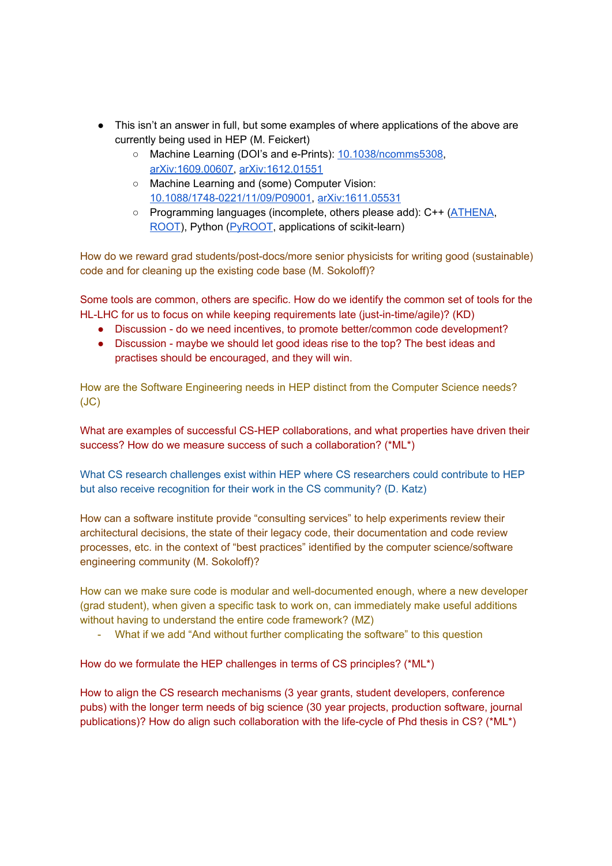- This isn't an answer in full, but some examples of where applications of the above are currently being used in HEP (M. Feickert)
	- Machine Learning (DOI's and e-Prints): 10.1038/ncomms5308, arXiv:1609.00607, arXiv:1612.01551
	- Machine Learning and (some) Computer Vision: 10.1088/1748-0221/11/09/P09001, arXiv:1611.05531
	- Programming languages (incomplete, others please add): C++ (ATHENA, ROOT), Python (PyROOT, applications of scikit-learn)

How do we reward grad students/post-docs/more senior physicists for writing good (sustainable) code and for cleaning up the existing code base (M. Sokoloff)?

Some tools are common, others are specific. How do we identify the common set of tools for the HL-LHC for us to focus on while keeping requirements late (just-in-time/agile)? (KD)

- Discussion do we need incentives, to promote better/common code development?
- Discussion maybe we should let good ideas rise to the top? The best ideas and practises should be encouraged, and they will win.

How are the Software Engineering needs in HEP distinct from the Computer Science needs? (JC)

What are examples of successful CS-HEP collaborations, and what properties have driven their success? How do we measure success of such a collaboration? (\*ML\*)

What CS research challenges exist within HEP where CS researchers could contribute to HEP but also receive recognition for their work in the CS community? (D. Katz)

How can a software institute provide "consulting services" to help experiments review their architectural decisions, the state of their legacy code, their documentation and code review processes, etc. in the context of "best practices" identified by the computer science/software engineering community (M. Sokoloff)?

How can we make sure code is modular and well-documented enough, where a new developer (grad student), when given a specific task to work on, can immediately make useful additions without having to understand the entire code framework? (MZ)

- What if we add "And without further complicating the software" to this question

How do we formulate the HEP challenges in terms of CS principles? (\*ML\*)

How to align the CS research mechanisms (3 year grants, student developers, conference pubs) with the longer term needs of big science (30 year projects, production software, journal publications)? How do align such collaboration with the life-cycle of Phd thesis in CS? (\*ML\*)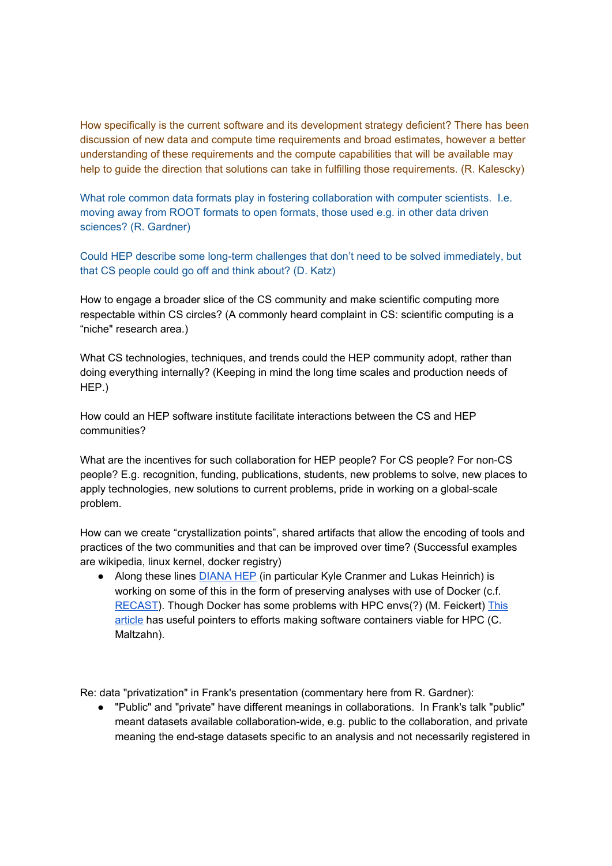How specifically is the current software and its development strategy deficient? There has been discussion of new data and compute time requirements and broad estimates, however a better understanding of these requirements and the compute capabilities that will be available may help to guide the direction that solutions can take in fulfilling those requirements. (R. Kalescky)

What role common data formats play in fostering collaboration with computer scientists. I.e. moving away from ROOT formats to open formats, those used e.g. in other data driven sciences? (R. Gardner)

Could HEP describe some long-term challenges that don't need to be solved immediately, but that CS people could go off and think about? (D. Katz)

How to engage a broader slice of the CS community and make scientific computing more respectable within CS circles? (A commonly heard complaint in CS: scientific computing is a "niche" research area.)

What CS technologies, techniques, and trends could the HEP community adopt, rather than doing everything internally? (Keeping in mind the long time scales and production needs of HEP.)

How could an HEP software institute facilitate interactions between the CS and HEP communities?

What are the incentives for such collaboration for HEP people? For CS people? For non-CS people? E.g. recognition, funding, publications, students, new problems to solve, new places to apply technologies, new solutions to current problems, pride in working on a global-scale problem.

How can we create "crystallization points", shared artifacts that allow the encoding of tools and practices of the two communities and that can be improved over time? (Successful examples are wikipedia, linux kernel, docker registry)

● Along these lines DIANA HEP (in particular Kyle Cranmer and Lukas Heinrich) is working on some of this in the form of preserving analyses with use of Docker (c.f. RECAST). Though Docker has some problems with HPC envs(?) (M. Feickert) This article has useful pointers to efforts making software containers viable for HPC (C. Maltzahn).

Re: data "privatization" in Frank's presentation (commentary here from R. Gardner):

● "Public" and "private" have different meanings in collaborations. In Frank's talk "public" meant datasets available collaboration-wide, e.g. public to the collaboration, and private meaning the end-stage datasets specific to an analysis and not necessarily registered in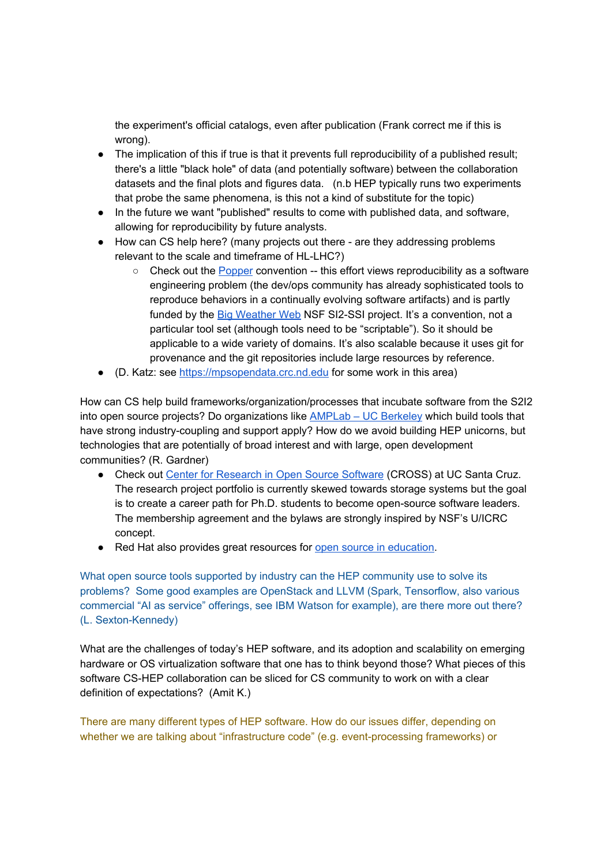the experiment's official catalogs, even after publication (Frank correct me if this is wrong).

- The implication of this if true is that it prevents full reproducibility of a published result; there's a little "black hole" of data (and potentially software) between the collaboration datasets and the final plots and figures data. (n.b HEP typically runs two experiments that probe the same phenomena, is this not a kind of substitute for the topic)
- In the future we want "published" results to come with published data, and software, allowing for reproducibility by future analysts.
- How can CS help here? (many projects out there are they addressing problems relevant to the scale and timeframe of HL-LHC?)
	- $\circ$  Check out the Popper convention  $-$  this effort views reproducibility as a software engineering problem (the dev/ops community has already sophisticated tools to reproduce behaviors in a continually evolving software artifacts) and is partly funded by the Big Weather Web NSF SI2-SSI project. It's a convention, not a particular tool set (although tools need to be "scriptable"). So it should be applicable to a wide variety of domains. It's also scalable because it uses git for provenance and the git repositories include large resources by reference.
- (D. Katz: see https://mpsopendata.crc.nd.edu for some work in this area)

How can CS help build frameworks/organization/processes that incubate software from the S2I2 into open source projects? Do organizations like **AMPLab** – UC Berkeley which build tools that have strong industry-coupling and support apply? How do we avoid building HEP unicorns, but technologies that are potentially of broad interest and with large, open development communities? (R. Gardner)

- Check out Center for Research in Open Source Software (CROSS) at UC Santa Cruz. The research project portfolio is currently skewed towards storage systems but the goal is to create a career path for Ph.D. students to become open-source software leaders. The membership agreement and the bylaws are strongly inspired by NSF's U/ICRC concept.
- Red Hat also provides great resources for open source in education.

What open source tools supported by industry can the HEP community use to solve its problems? Some good examples are OpenStack and LLVM (Spark, Tensorflow, also various commercial "AI as service" offerings, see IBM Watson for example), are there more out there? (L. Sexton-Kennedy)

What are the challenges of today's HEP software, and its adoption and scalability on emerging hardware or OS virtualization software that one has to think beyond those? What pieces of this software CS-HEP collaboration can be sliced for CS community to work on with a clear definition of expectations? (Amit K.)

There are many different types of HEP software. How do our issues differ, depending on whether we are talking about "infrastructure code" (e.g. event-processing frameworks) or